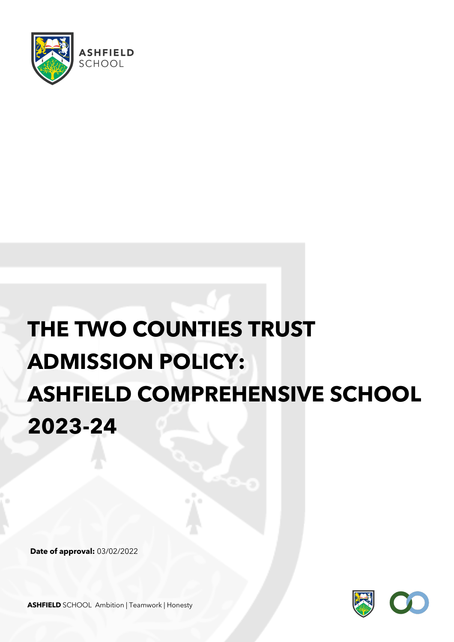

# **THE TWO COUNTIES TRUST ADMISSION POLICY: ASHFIELD COMPREHENSIVE SCHOOL 2023-24**

**Date of approval:** 03/02/2022



**ASHFIELD** SCHOOL Ambition | Teamwork | Honesty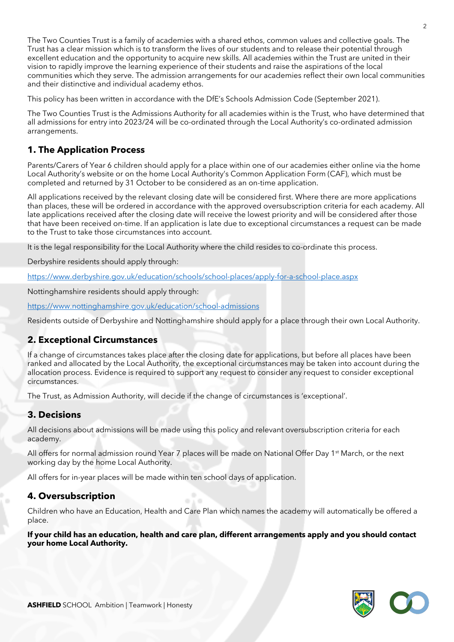The Two Counties Trust is a family of academies with a shared ethos, common values and collective goals. The Trust has a clear mission which is to transform the lives of our students and to release their potential through excellent education and the opportunity to acquire new skills. All academies within the Trust are united in their vision to rapidly improve the learning experience of their students and raise the aspirations of the local communities which they serve. The admission arrangements for our academies reflect their own local communities and their distinctive and individual academy ethos.

This policy has been written in accordance with the DfE's Schools Admission Code (September 2021).

The Two Counties Trust is the Admissions Authority for all academies within is the Trust, who have determined that all admissions for entry into 2023/24 will be co-ordinated through the Local Authority's co-ordinated admission arrangements.

## **1. The Application Process**

Parents/Carers of Year 6 children should apply for a place within one of our academies either online via the home Local Authority's website or on the home Local Authority's Common Application Form (CAF), which must be completed and returned by 31 October to be considered as an on-time application.

All applications received by the relevant closing date will be considered first. Where there are more applications than places, these will be ordered in accordance with the approved oversubscription criteria for each academy. All late applications received after the closing date will receive the lowest priority and will be considered after those that have been received on-time. If an application is late due to exceptional circumstances a request can be made to the Trust to take those circumstances into account.

It is the legal responsibility for the Local Authority where the child resides to co-ordinate this process.

Derbyshire residents should apply through:

https://www.derbyshire.gov.uk/education/schools/school-places/apply-for-a-school-place.aspx

Nottinghamshire residents should apply through:

https://www.nottinghamshire.gov.uk/education/school-admissions

Residents outside of Derbyshire and Nottinghamshire should apply for a place through their own Local Authority.

## **2. Exceptional Circumstances**

If a change of circumstances takes place after the closing date for applications, but before all places have been ranked and allocated by the Local Authority, the exceptional circumstances may be taken into account during the allocation process. Evidence is required to support any request to consider any request to consider exceptional circumstances.

The Trust, as Admission Authority, will decide if the change of circumstances is 'exceptional'.

## **3. Decisions**

All decisions about admissions will be made using this policy and relevant oversubscription criteria for each academy.

All offers for normal admission round Year 7 places will be made on National Offer Day 1<sup>st</sup> March, or the next working day by the home Local Authority.

All offers for in-year places will be made within ten school days of application.

## **4. Oversubscription**

Children who have an Education, Health and Care Plan which names the academy will automatically be offered a place.

#### **If your child has an education, health and care plan, different arrangements apply and you should contact your home Local Authority.**

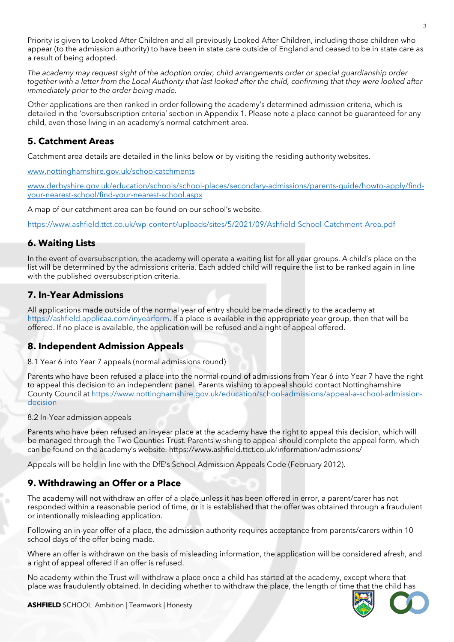Priority is given to Looked After Children and all previously Looked After Children, including those children who appear (to the admission authority) to have been in state care outside of England and ceased to be in state care as a result of being adopted.

*The academy may request sight of the adoption order, child arrangements order or special guardianship order together with a letter from the Local Authority that last looked after the child, confirming that they were looked after immediately prior to the order being made.* 

Other applications are then ranked in order following the academy's determined admission criteria, which is detailed in the 'oversubscription criteria' section in Appendix 1. Please note a place cannot be guaranteed for any child, even those living in an academy's normal catchment area.

## **5. Catchment Areas**

Catchment area details are detailed in the links below or by visiting the residing authority websites.

www.nottinghamshire.gov.uk/schoolcatchments

www.derbyshire.gov.uk/education/schools/school-places/secondary-admissions/parents-guide/howto-apply/findyour-nearest-school/find-your-nearest-school.aspx

A map of our catchment area can be found on our school's website.

https://www.ashfield.ttct.co.uk/wp-content/uploads/sites/5/2021/09/Ashfield-School-Catchment-Area.pdf

## **6. Waiting Lists**

In the event of oversubscription, the academy will operate a waiting list for all year groups. A child's place on the list will be determined by the admissions criteria. Each added child will require the list to be ranked again in line with the published oversubscription criteria.

## **7. In-Year Admissions**

All applications made outside of the normal year of entry should be made directly to the academy at https://ashfield.applicaa.com/inyearform. If a place is available in the appropriate year group, then that will be offered. If no place is available, the application will be refused and a right of appeal offered.

## **8. Independent Admission Appeals**

8.1 Year 6 into Year 7 appeals (normal admissions round)

Parents who have been refused a place into the normal round of admissions from Year 6 into Year 7 have the right to appeal this decision to an independent panel. Parents wishing to appeal should contact Nottinghamshire County Council at https://www.nottinghamshire.gov.uk/education/school-admissions/appeal-a-school-admissiondecision

#### 8.2 In-Year admission appeals

Parents who have been refused an in-year place at the academy have the right to appeal this decision, which will be managed through the Two Counties Trust. Parents wishing to appeal should complete the appeal form, which can be found on the academy's website. https://www.ashfield.ttct.co.uk/information/admissions/

Appeals will be held in line with the DfE's School Admission Appeals Code (February 2012).

## **9. Withdrawing an Offer or a Place**

The academy will not withdraw an offer of a place unless it has been offered in error, a parent/carer has not responded within a reasonable period of time, or it is established that the offer was obtained through a fraudulent or intentionally misleading application.

Following an in-year offer of a place, the admission authority requires acceptance from parents/carers within 10 school days of the offer being made.

Where an offer is withdrawn on the basis of misleading information, the application will be considered afresh, and a right of appeal offered if an offer is refused.

No academy within the Trust will withdraw a place once a child has started at the academy, except where that place was fraudulently obtained. In deciding whether to withdraw the place, the length of time that the child has

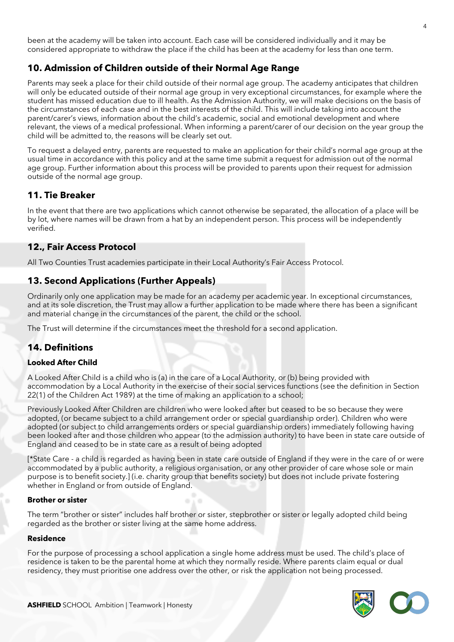been at the academy will be taken into account. Each case will be considered individually and it may be considered appropriate to withdraw the place if the child has been at the academy for less than one term.

## **10. Admission of Children outside of their Normal Age Range**

Parents may seek a place for their child outside of their normal age group. The academy anticipates that children will only be educated outside of their normal age group in very exceptional circumstances, for example where the student has missed education due to ill health. As the Admission Authority, we will make decisions on the basis of the circumstances of each case and in the best interests of the child. This will include taking into account the parent/carer's views, information about the child's academic, social and emotional development and where relevant, the views of a medical professional. When informing a parent/carer of our decision on the year group the child will be admitted to, the reasons will be clearly set out.

To request a delayed entry, parents are requested to make an application for their child's normal age group at the usual time in accordance with this policy and at the same time submit a request for admission out of the normal age group. Further information about this process will be provided to parents upon their request for admission outside of the normal age group.

## **11. Tie Breaker**

In the event that there are two applications which cannot otherwise be separated, the allocation of a place will be by lot, where names will be drawn from a hat by an independent person. This process will be independently verified.

## **12., Fair Access Protocol**

All Two Counties Trust academies participate in their Local Authority's Fair Access Protocol.

## **13. Second Applications (Further Appeals)**

Ordinarily only one application may be made for an academy per academic year. In exceptional circumstances, and at its sole discretion, the Trust may allow a further application to be made where there has been a significant and material change in the circumstances of the parent, the child or the school.

The Trust will determine if the circumstances meet the threshold for a second application.

## **14. Definitions**

#### **Looked After Child**

A Looked After Child is a child who is (a) in the care of a Local Authority, or (b) being provided with accommodation by a Local Authority in the exercise of their social services functions (see the definition in Section 22(1) of the Children Act 1989) at the time of making an application to a school;

Previously Looked After Children are children who were looked after but ceased to be so because they were adopted, (or became subject to a child arrangement order or special guardianship order). Children who were adopted (or subject to child arrangements orders or special guardianship orders) immediately following having been looked after and those children who appear (to the admission authority) to have been in state care outside of England and ceased to be in state care as a result of being adopted

[\*State Care - a child is regarded as having been in state care outside of England if they were in the care of or were accommodated by a public authority, a religious organisation, or any other provider of care whose sole or main purpose is to benefit society.] (i.e. charity group that benefits society) but does not include private fostering whether in England or from outside of England.

#### **Brother or sister**

The term "brother or sister" includes half brother or sister, stepbrother or sister or legally adopted child being regarded as the brother or sister living at the same home address.

#### **Residence**

For the purpose of processing a school application a single home address must be used. The child's place of residence is taken to be the parental home at which they normally reside. Where parents claim equal or dual residency, they must prioritise one address over the other, or risk the application not being processed.

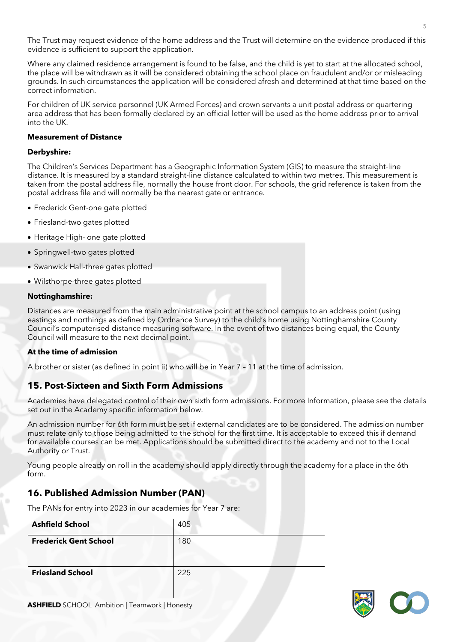The Trust may request evidence of the home address and the Trust will determine on the evidence produced if this evidence is sufficient to support the application.

Where any claimed residence arrangement is found to be false, and the child is yet to start at the allocated school, the place will be withdrawn as it will be considered obtaining the school place on fraudulent and/or or misleading grounds. In such circumstances the application will be considered afresh and determined at that time based on the correct information.

For children of UK service personnel (UK Armed Forces) and crown servants a unit postal address or quartering area address that has been formally declared by an official letter will be used as the home address prior to arrival into the UK.

#### **Measurement of Distance**

#### **Derbyshire:**

The Children's Services Department has a Geographic Information System (GIS) to measure the straight-line distance. It is measured by a standard straight-line distance calculated to within two metres. This measurement is taken from the postal address file, normally the house front door. For schools, the grid reference is taken from the postal address file and will normally be the nearest gate or entrance.

- Frederick Gent-one gate plotted
- Friesland-two gates plotted
- Heritage High- one gate plotted
- Springwell-two gates plotted
- Swanwick Hall-three gates plotted
- Wilsthorpe-three gates plotted

#### **Nottinghamshire:**

Distances are measured from the main administrative point at the school campus to an address point (using eastings and northings as defined by Ordnance Survey) to the child's home using Nottinghamshire County Council's computerised distance measuring software. In the event of two distances being equal, the County Council will measure to the next decimal point.

#### **At the time of admission**

A brother or sister (as defined in point ii) who will be in Year 7 – 11 at the time of admission.

## **15. Post-Sixteen and Sixth Form Admissions**

Academies have delegated control of their own sixth form admissions. For more Information, please see the details set out in the Academy specific information below.

An admission number for 6th form must be set if external candidates are to be considered. The admission number must relate only to those being admitted to the school for the first time. It is acceptable to exceed this if demand for available courses can be met. Applications should be submitted direct to the academy and not to the Local Authority or Trust.

Young people already on roll in the academy should apply directly through the academy for a place in the 6th form.

## **16. Published Admission Number (PAN)**

The PANs for entry into 2023 in our academies for Year 7 are:

| <b>Ashfield School</b>       | 405 |
|------------------------------|-----|
| <b>Frederick Gent School</b> | 180 |
| <b>Friesland School</b>      | 225 |

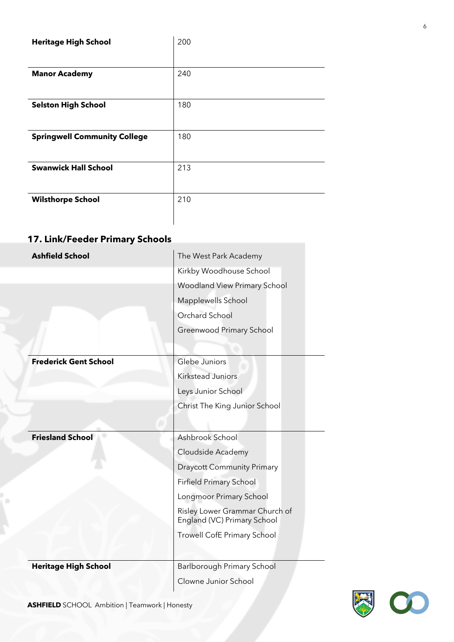| <b>Heritage High School</b>         | 200 |
|-------------------------------------|-----|
|                                     |     |
| <b>Manor Academy</b>                | 240 |
|                                     |     |
| <b>Selston High School</b>          | 180 |
|                                     |     |
| <b>Springwell Community College</b> | 180 |
|                                     |     |
| <b>Swanwick Hall School</b>         | 213 |
|                                     |     |
| <b>Wilsthorpe School</b>            | 210 |
|                                     |     |

## **17. Link/Feeder Primary Schools**

| <b>Ashfield School</b>       | The West Park Academy                                         |
|------------------------------|---------------------------------------------------------------|
|                              | Kirkby Woodhouse School                                       |
|                              | Woodland View Primary School                                  |
|                              | Mapplewells School                                            |
|                              | <b>Orchard School</b>                                         |
|                              | Greenwood Primary School                                      |
|                              |                                                               |
| <b>Frederick Gent School</b> | Glebe Juniors                                                 |
|                              | <b>Kirkstead Juniors</b>                                      |
|                              | Leys Junior School                                            |
|                              | Christ The King Junior School                                 |
|                              |                                                               |
| <b>Friesland School</b>      | Ashbrook School                                               |
|                              |                                                               |
|                              | Cloudside Academy                                             |
|                              | <b>Draycott Community Primary</b>                             |
|                              | <b>Firfield Primary School</b>                                |
|                              | Longmoor Primary School                                       |
|                              | Risley Lower Grammar Church of<br>England (VC) Primary School |
|                              | Trowell CofE Primary School                                   |
|                              |                                                               |
| <b>Heritage High School</b>  | Barlborough Primary School                                    |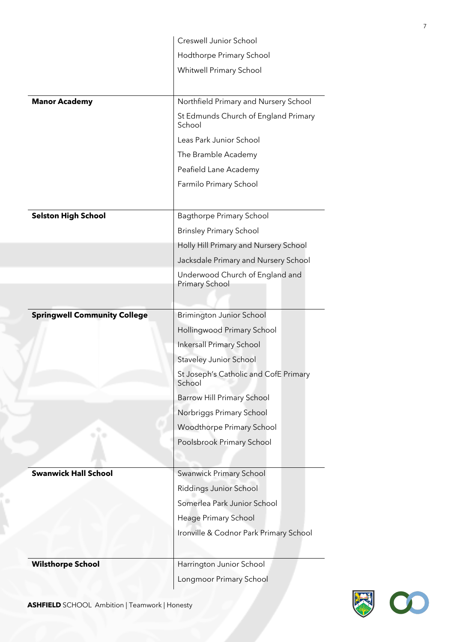|                                     | Creswell Junior School                                   |
|-------------------------------------|----------------------------------------------------------|
|                                     | Hodthorpe Primary School                                 |
|                                     | Whitwell Primary School                                  |
|                                     |                                                          |
| <b>Manor Academy</b>                | Northfield Primary and Nursery School                    |
|                                     | St Edmunds Church of England Primary<br>School           |
|                                     | Leas Park Junior School                                  |
|                                     | The Bramble Academy                                      |
|                                     | Peafield Lane Academy                                    |
|                                     | Farmilo Primary School                                   |
|                                     |                                                          |
| <b>Selston High School</b>          | <b>Bagthorpe Primary School</b>                          |
|                                     | <b>Brinsley Primary School</b>                           |
|                                     | Holly Hill Primary and Nursery School                    |
|                                     | Jacksdale Primary and Nursery School                     |
|                                     | Underwood Church of England and<br><b>Primary School</b> |
|                                     |                                                          |
| <b>Springwell Community College</b> | <b>Brimington Junior School</b>                          |
|                                     |                                                          |
|                                     | Hollingwood Primary School                               |
|                                     | <b>Inkersall Primary School</b>                          |
|                                     | <b>Staveley Junior School</b>                            |
|                                     | St Joseph's Catholic and CofE Primary<br>School          |
|                                     | <b>Barrow Hill Primary School</b>                        |
|                                     | Norbriggs Primary School                                 |
|                                     | Woodthorpe Primary School                                |
|                                     | Poolsbrook Primary School                                |
|                                     |                                                          |
| <b>Swanwick Hall School</b>         | Swanwick Primary School                                  |
|                                     | Riddings Junior School                                   |
|                                     | Somerlea Park Junior School                              |
|                                     | Heage Primary School                                     |
|                                     | Ironville & Codnor Park Primary School                   |
|                                     |                                                          |
| <b>Wilsthorpe School</b>            | Harrington Junior School                                 |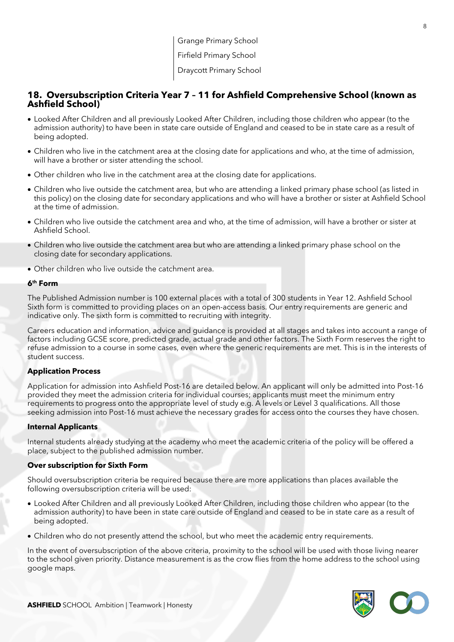## **18. Oversubscription Criteria Year 7 – 11 for Ashfield Comprehensive School (known as Ashfield School)**

- Looked After Children and all previously Looked After Children, including those children who appear (to the admission authority) to have been in state care outside of England and ceased to be in state care as a result of being adopted.
- Children who live in the catchment area at the closing date for applications and who, at the time of admission, will have a brother or sister attending the school.
- Other children who live in the catchment area at the closing date for applications.
- Children who live outside the catchment area, but who are attending a linked primary phase school (as listed in this policy) on the closing date for secondary applications and who will have a brother or sister at Ashfield School at the time of admission.
- Children who live outside the catchment area and who, at the time of admission, will have a brother or sister at Ashfield School.
- Children who live outside the catchment area but who are attending a linked primary phase school on the closing date for secondary applications.
- Other children who live outside the catchment area.

#### **6th Form**

The Published Admission number is 100 external places with a total of 300 students in Year 12. Ashfield School Sixth form is committed to providing places on an open-access basis. Our entry requirements are generic and indicative only. The sixth form is committed to recruiting with integrity.

Careers education and information, advice and guidance is provided at all stages and takes into account a range of factors including GCSE score, predicted grade, actual grade and other factors. The Sixth Form reserves the right to refuse admission to a course in some cases, even where the generic requirements are met. This is in the interests of student success.

#### **Application Process**

Application for admission into Ashfield Post-16 are detailed below. An applicant will only be admitted into Post-16 provided they meet the admission criteria for individual courses; applicants must meet the minimum entry requirements to progress onto the appropriate level of study e.g. A levels or Level 3 qualifications. All those seeking admission into Post-16 must achieve the necessary grades for access onto the courses they have chosen.

#### **Internal Applicants**

Internal students already studying at the academy who meet the academic criteria of the policy will be offered a place, subject to the published admission number.

#### **Over subscription for Sixth Form**

Should oversubscription criteria be required because there are more applications than places available the following oversubscription criteria will be used:

- Looked After Children and all previously Looked After Children, including those children who appear (to the admission authority) to have been in state care outside of England and ceased to be in state care as a result of being adopted.
- Children who do not presently attend the school, but who meet the academic entry requirements.

In the event of oversubscription of the above criteria, proximity to the school will be used with those living nearer to the school given priority. Distance measurement is as the crow flies from the home address to the school using google maps.